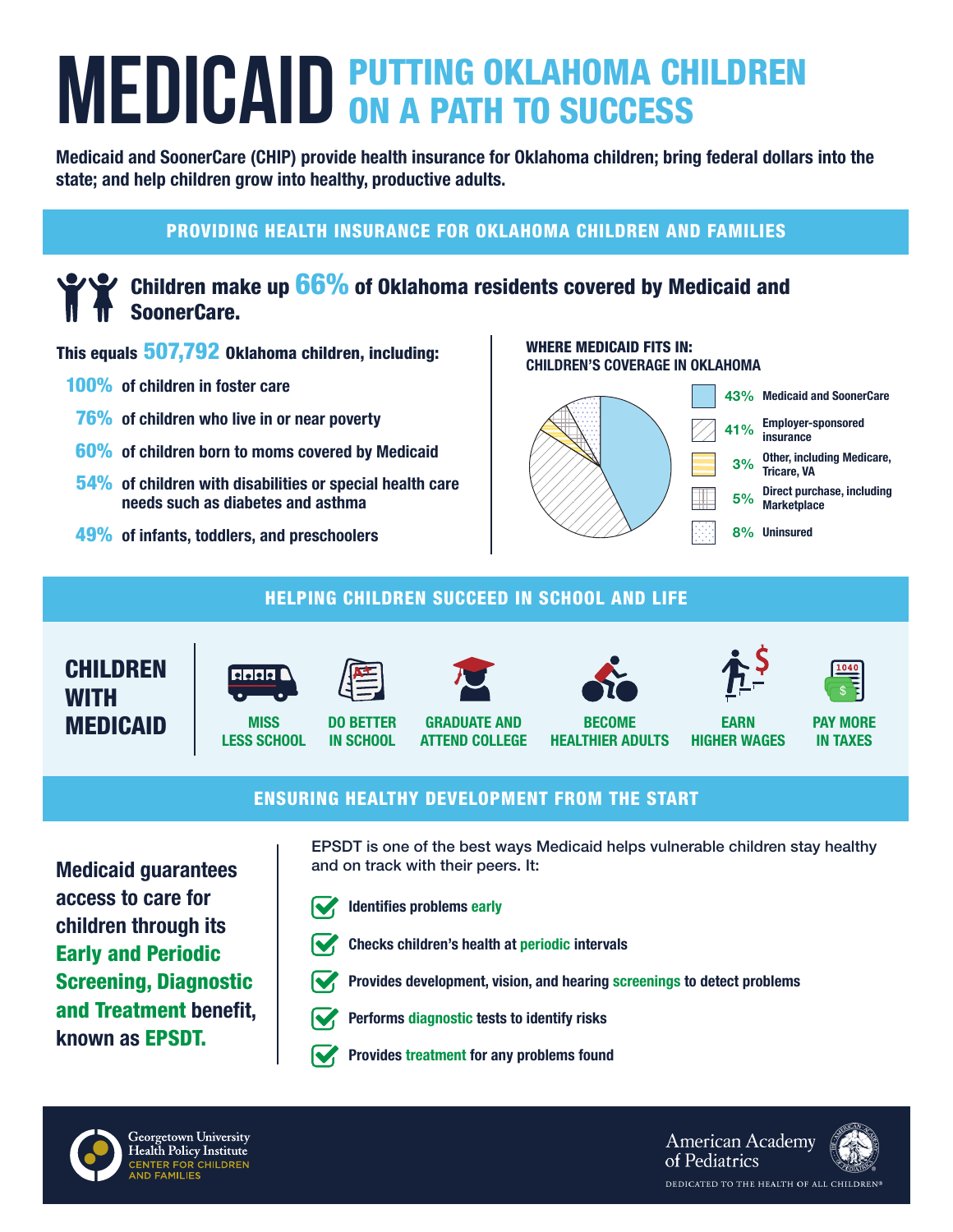# **MEDICAID PUTTING OKLAHOMA CHILDREN MEDICAID ON A PATH TO SUCCESS**

Medicaid and SoonerCare (CHIP) provide health insurance for Oklahoma children; bring federal dollars into the state; and help children grow into healthy, productive adults.

# PROVIDING HEALTH INSURANCE FOR OKLAHOMA CHILDREN AND FAMILIES

# Children make up 66% of Oklahoma residents covered by Medicaid and SoonerCare.

#### This equals 507,792 Oklahoma children, including:

- 100% of children in foster care
- 76% of children who live in or near poverty
- 60% of children born to moms covered by Medicaid
- 54% of children with disabilities or special health care needs such as diabetes and asthma
- 49% of infants, toddlers, and preschoolers

#### WHERE MEDICAID FITS IN: CHILDREN'S COVERAGE IN OKLAHOMA



# HELPING CHILDREN SUCCEED IN SCHOOL AND LIFE





**MISS** LESS SCHOOL



IN SCHOOL





BECOME HEALTHIER ADULTS



EARN HIGHER WAGES



PAY MORE IN TAXES

## ENSURING HEALTHY DEVELOPMENT FROM THE START

ATTEND COLLEGE

Medicaid guarantees access to care for children through its Early and Periodic Screening, Diagnostic and Treatment benefit, known as EPSDT.

EPSDT is one of the best ways Medicaid helps vulnerable children stay healthy and on track with their peers. It:



Identifies problems early





Provides development, vision, and hearing screenings to detect problems



- Performs diagnostic tests to identify risks
- Provides treatment for any problems found



**American Academy** of Pediatrics DEDICATED TO THE HEALTH OF ALL CHILDREN®